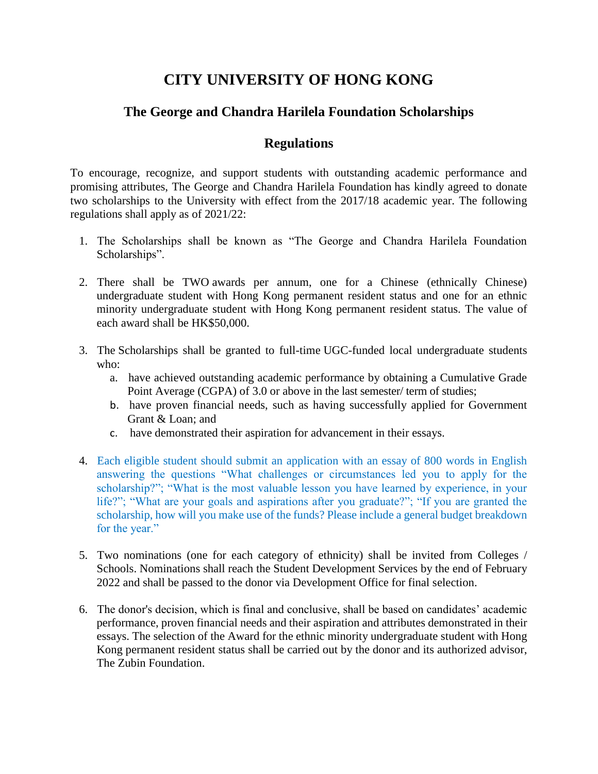## **CITY UNIVERSITY OF HONG KONG**

## **The George and Chandra Harilela Foundation Scholarships**

## **Regulations**

To encourage, recognize, and support students with outstanding academic performance and promising attributes, The George and Chandra Harilela Foundation has kindly agreed to donate two scholarships to the University with effect from the 2017/18 academic year. The following regulations shall apply as of 2021/22:

- 1. The Scholarships shall be known as "The George and Chandra Harilela Foundation Scholarships".
- 2. There shall be TWO awards per annum, one for a Chinese (ethnically Chinese) undergraduate student with Hong Kong permanent resident status and one for an ethnic minority undergraduate student with Hong Kong permanent resident status. The value of each award shall be HK\$50,000.
- 3. The Scholarships shall be granted to full-time UGC-funded local undergraduate students who:
	- a. have achieved outstanding academic performance by obtaining a Cumulative Grade Point Average (CGPA) of 3.0 or above in the last semester/ term of studies;
	- b. have proven financial needs, such as having successfully applied for Government Grant & Loan; and
	- c. have demonstrated their aspiration for advancement in their essays.
- 4. Each eligible student should submit an application with an essay of 800 words in English answering the questions "What challenges or circumstances led you to apply for the scholarship?"; "What is the most valuable lesson you have learned by experience, in your life?"; "What are your goals and aspirations after you graduate?"; "If you are granted the scholarship, how will you make use of the funds? Please include a general budget breakdown for the year."
- 5. Two nominations (one for each category of ethnicity) shall be invited from Colleges / Schools. Nominations shall reach the Student Development Services by the end of February 2022 and shall be passed to the donor via Development Office for final selection.
- 6. The donor's decision, which is final and conclusive, shall be based on candidates' academic performance, proven financial needs and their aspiration and attributes demonstrated in their essays. The selection of the Award for the ethnic minority undergraduate student with Hong Kong permanent resident status shall be carried out by the donor and its authorized advisor, The Zubin Foundation.